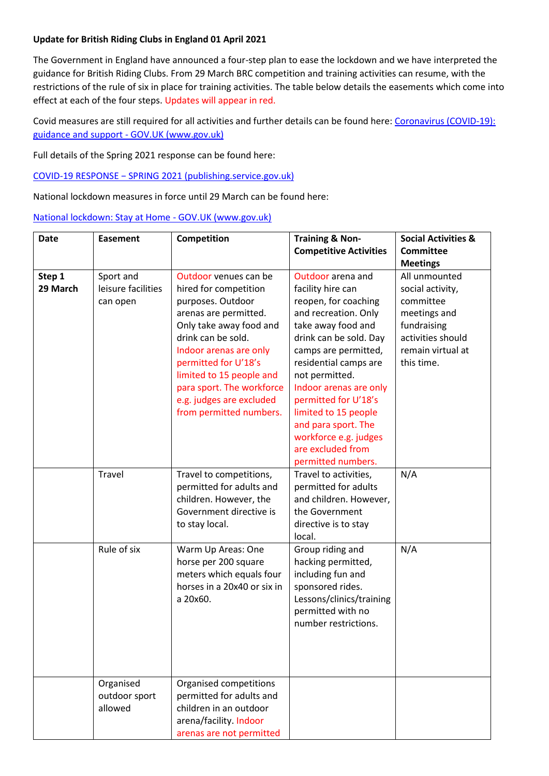## **Update for British Riding Clubs in England 01 April 2021**

The Government in England have announced a four-step plan to ease the lockdown and we have interpreted the guidance for British Riding Clubs. From 29 March BRC competition and training activities can resume, with the restrictions of the rule of six in place for training activities. The table below details the easements which come into effect at each of the four steps. Updates will appear in red.

Covid measures are still required for all activities and further details can be found here: [Coronavirus \(COVID-19\):](https://www.gov.uk/coronavirus)  [guidance and support -](https://www.gov.uk/coronavirus) GOV.UK (www.gov.uk)

Full details of the Spring 2021 response can be found here:

COVID-[19 RESPONSE − SPRING 2021 \(publishing.service.gov.uk\)](https://assets.publishing.service.gov.uk/government/uploads/system/uploads/attachment_data/file/963491/COVID-19_Response_-_Spring_2021.pdf)

National lockdown measures in force until 29 March can be found here:

[National lockdown: Stay at Home -](https://www.gov.uk/guidance/national-lockdown-stay-at-home) GOV.UK (www.gov.uk)

| <b>Date</b>        | <b>Easement</b>                             | Competition                                                                                                                                                                                                                                                                                                     | <b>Training &amp; Non-</b>                                                                                                                                                                                                                                                                                                                                                     | <b>Social Activities &amp;</b>                                                                                                        |
|--------------------|---------------------------------------------|-----------------------------------------------------------------------------------------------------------------------------------------------------------------------------------------------------------------------------------------------------------------------------------------------------------------|--------------------------------------------------------------------------------------------------------------------------------------------------------------------------------------------------------------------------------------------------------------------------------------------------------------------------------------------------------------------------------|---------------------------------------------------------------------------------------------------------------------------------------|
|                    |                                             |                                                                                                                                                                                                                                                                                                                 | <b>Competitive Activities</b>                                                                                                                                                                                                                                                                                                                                                  | <b>Committee</b><br><b>Meetings</b>                                                                                                   |
| Step 1<br>29 March | Sport and<br>leisure facilities<br>can open | Outdoor venues can be<br>hired for competition<br>purposes. Outdoor<br>arenas are permitted.<br>Only take away food and<br>drink can be sold.<br>Indoor arenas are only<br>permitted for U'18's<br>limited to 15 people and<br>para sport. The workforce<br>e.g. judges are excluded<br>from permitted numbers. | Outdoor arena and<br>facility hire can<br>reopen, for coaching<br>and recreation. Only<br>take away food and<br>drink can be sold. Day<br>camps are permitted,<br>residential camps are<br>not permitted.<br>Indoor arenas are only<br>permitted for U'18's<br>limited to 15 people<br>and para sport. The<br>workforce e.g. judges<br>are excluded from<br>permitted numbers. | All unmounted<br>social activity,<br>committee<br>meetings and<br>fundraising<br>activities should<br>remain virtual at<br>this time. |
|                    | Travel                                      | Travel to competitions,<br>permitted for adults and<br>children. However, the<br>Government directive is<br>to stay local.                                                                                                                                                                                      | Travel to activities,<br>permitted for adults<br>and children. However,<br>the Government<br>directive is to stay<br>local.                                                                                                                                                                                                                                                    | N/A                                                                                                                                   |
|                    | Rule of six                                 | Warm Up Areas: One<br>horse per 200 square<br>meters which equals four<br>horses in a 20x40 or six in<br>a 20x60.                                                                                                                                                                                               | Group riding and<br>hacking permitted,<br>including fun and<br>sponsored rides.<br>Lessons/clinics/training<br>permitted with no<br>number restrictions.                                                                                                                                                                                                                       | N/A                                                                                                                                   |
|                    | Organised<br>outdoor sport<br>allowed       | Organised competitions<br>permitted for adults and<br>children in an outdoor<br>arena/facility. Indoor<br>arenas are not permitted                                                                                                                                                                              |                                                                                                                                                                                                                                                                                                                                                                                |                                                                                                                                       |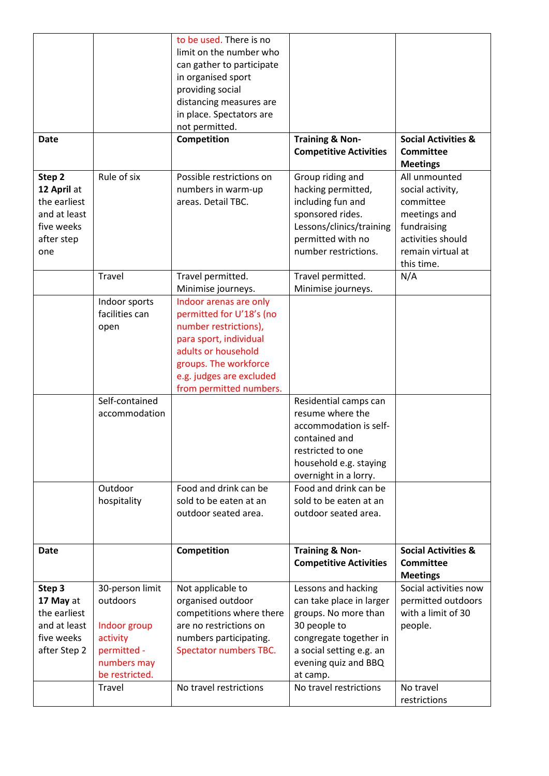|                                                                                          |                                                                                                         | to be used. There is no<br>limit on the number who<br>can gather to participate<br>in organised sport<br>providing social<br>distancing measures are<br>in place. Spectators are<br>not permitted.           |                                                                                                                                                                                   |                                                                                                                                       |
|------------------------------------------------------------------------------------------|---------------------------------------------------------------------------------------------------------|--------------------------------------------------------------------------------------------------------------------------------------------------------------------------------------------------------------|-----------------------------------------------------------------------------------------------------------------------------------------------------------------------------------|---------------------------------------------------------------------------------------------------------------------------------------|
| <b>Date</b>                                                                              |                                                                                                         | Competition                                                                                                                                                                                                  | <b>Training &amp; Non-</b><br><b>Competitive Activities</b>                                                                                                                       | <b>Social Activities &amp;</b><br><b>Committee</b><br><b>Meetings</b>                                                                 |
| Step 2<br>12 April at<br>the earliest<br>and at least<br>five weeks<br>after step<br>one | Rule of six                                                                                             | Possible restrictions on<br>numbers in warm-up<br>areas. Detail TBC.                                                                                                                                         | Group riding and<br>hacking permitted,<br>including fun and<br>sponsored rides.<br>Lessons/clinics/training<br>permitted with no<br>number restrictions.                          | All unmounted<br>social activity,<br>committee<br>meetings and<br>fundraising<br>activities should<br>remain virtual at<br>this time. |
|                                                                                          | Travel                                                                                                  | Travel permitted.<br>Minimise journeys.                                                                                                                                                                      | Travel permitted.<br>Minimise journeys.                                                                                                                                           | N/A                                                                                                                                   |
|                                                                                          | Indoor sports<br>facilities can<br>open                                                                 | Indoor arenas are only<br>permitted for U'18's (no<br>number restrictions),<br>para sport, individual<br>adults or household<br>groups. The workforce<br>e.g. judges are excluded<br>from permitted numbers. |                                                                                                                                                                                   |                                                                                                                                       |
|                                                                                          | Self-contained<br>accommodation                                                                         |                                                                                                                                                                                                              | Residential camps can<br>resume where the<br>accommodation is self-<br>contained and<br>restricted to one<br>household e.g. staying<br>overnight in a lorry.                      |                                                                                                                                       |
|                                                                                          | Outdoor<br>hospitality                                                                                  | Food and drink can be<br>sold to be eaten at an<br>outdoor seated area.                                                                                                                                      | Food and drink can be<br>sold to be eaten at an<br>outdoor seated area.                                                                                                           |                                                                                                                                       |
| <b>Date</b>                                                                              |                                                                                                         | Competition                                                                                                                                                                                                  | <b>Training &amp; Non-</b><br><b>Competitive Activities</b>                                                                                                                       | <b>Social Activities &amp;</b><br><b>Committee</b><br><b>Meetings</b>                                                                 |
| Step 3<br>17 May at<br>the earliest<br>and at least<br>five weeks<br>after Step 2        | 30-person limit<br>outdoors<br>Indoor group<br>activity<br>permitted -<br>numbers may<br>be restricted. | Not applicable to<br>organised outdoor<br>competitions where there<br>are no restrictions on<br>numbers participating.<br>Spectator numbers TBC.                                                             | Lessons and hacking<br>can take place in larger<br>groups. No more than<br>30 people to<br>congregate together in<br>a social setting e.g. an<br>evening quiz and BBQ<br>at camp. | Social activities now<br>permitted outdoors<br>with a limit of 30<br>people.                                                          |
|                                                                                          | Travel                                                                                                  | No travel restrictions                                                                                                                                                                                       | No travel restrictions                                                                                                                                                            | No travel<br>restrictions                                                                                                             |